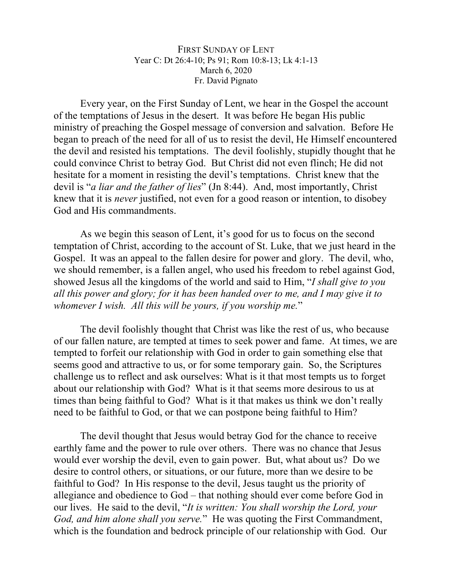FIRST SUNDAY OF LENT Year C: Dt 26:4-10; Ps 91; Rom 10:8-13; Lk 4:1-13 March 6, 2020 Fr. David Pignato

Every year, on the First Sunday of Lent, we hear in the Gospel the account of the temptations of Jesus in the desert. It was before He began His public ministry of preaching the Gospel message of conversion and salvation. Before He began to preach of the need for all of us to resist the devil, He Himself encountered the devil and resisted his temptations. The devil foolishly, stupidly thought that he could convince Christ to betray God. But Christ did not even flinch; He did not hesitate for a moment in resisting the devil's temptations. Christ knew that the devil is "*a liar and the father of lies*" (Jn 8:44). And, most importantly, Christ knew that it is *never* justified, not even for a good reason or intention, to disobey God and His commandments.

As we begin this season of Lent, it's good for us to focus on the second temptation of Christ, according to the account of St. Luke, that we just heard in the Gospel. It was an appeal to the fallen desire for power and glory. The devil, who, we should remember, is a fallen angel, who used his freedom to rebel against God, showed Jesus all the kingdoms of the world and said to Him, "*I shall give to you all this power and glory; for it has been handed over to me, and I may give it to whomever I wish. All this will be yours, if you worship me.*"

The devil foolishly thought that Christ was like the rest of us, who because of our fallen nature, are tempted at times to seek power and fame. At times, we are tempted to forfeit our relationship with God in order to gain something else that seems good and attractive to us, or for some temporary gain. So, the Scriptures challenge us to reflect and ask ourselves: What is it that most tempts us to forget about our relationship with God? What is it that seems more desirous to us at times than being faithful to God? What is it that makes us think we don't really need to be faithful to God, or that we can postpone being faithful to Him?

The devil thought that Jesus would betray God for the chance to receive earthly fame and the power to rule over others. There was no chance that Jesus would ever worship the devil, even to gain power. But, what about us? Do we desire to control others, or situations, or our future, more than we desire to be faithful to God? In His response to the devil, Jesus taught us the priority of allegiance and obedience to God – that nothing should ever come before God in our lives. He said to the devil, "*It is written: You shall worship the Lord, your God, and him alone shall you serve.*" He was quoting the First Commandment, which is the foundation and bedrock principle of our relationship with God. Our